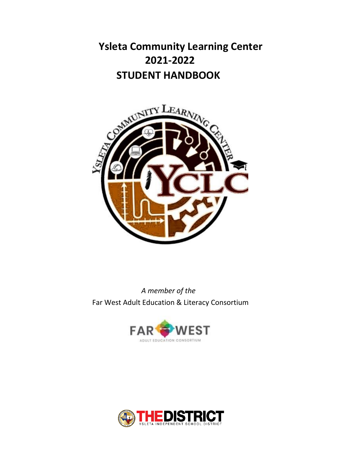**Ysleta Community Learning Center 2021-2022 STUDENT HANDBOOK** 



*A member of the* Far West Adult Education & Literacy Consortium



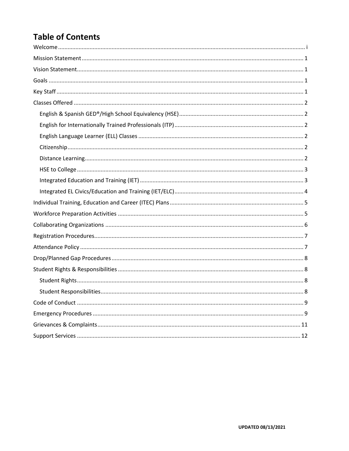# <span id="page-1-0"></span>**Table of Contents**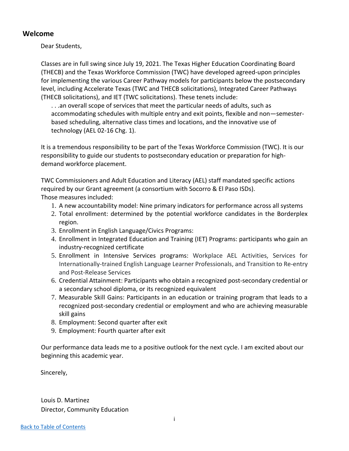#### <span id="page-2-0"></span>**Welcome**

Dear Students,

Classes are in full swing since July 19, 2021. The Texas Higher Education Coordinating Board (THECB) and the Texas Workforce Commission (TWC) have developed agreed-upon principles for implementing the various Career Pathway models for participants below the postsecondary level, including Accelerate Texas (TWC and THECB solicitations), Integrated Career Pathways (THECB solicitations), and IET (TWC solicitations). These tenets include:

. . .an overall scope of services that meet the particular needs of adults, such as accommodating schedules with multiple entry and exit points, flexible and non—semesterbased scheduling, alternative class times and locations, and the innovative use of technology (AEL 02-16 Chg. 1).

It is a tremendous responsibility to be part of the Texas Workforce Commission (TWC). It is our responsibility to guide our students to postsecondary education or preparation for highdemand workforce placement.

TWC Commissioners and Adult Education and Literacy (AEL) staff mandated specific actions required by our Grant agreement (a consortium with Socorro & El Paso ISDs). Those measures included:

- 1. A new accountability model: Nine primary indicators for performance across all systems
- 2. Total enrollment: determined by the potential workforce candidates in the Borderplex region.
- 3. Enrollment in English Language/Civics Programs:
- 4. Enrollment in Integrated Education and Training (IET) Programs: participants who gain an industry-recognized certificate
- 5. Enrollment in Intensive Services programs: Workplace AEL Activities, Services for Internationally-trained English Language Learner Professionals, and Transition to Re-entry and Post-Release Services
- 6. Credential Attainment: Participants who obtain a recognized post-secondary credential or a secondary school diploma, or its recognized equivalent
- 7. Measurable Skill Gains: Participants in an education or training program that leads to a recognized post-secondary credential or employment and who are achieving measurable skill gains
- 8. Employment: Second quarter after exit
- 9. Employment: Fourth quarter after exit

Our performance data leads me to a positive outlook for the next cycle. I am excited about our beginning this academic year.

Sincerely,

Louis D. Martinez Director, Community Education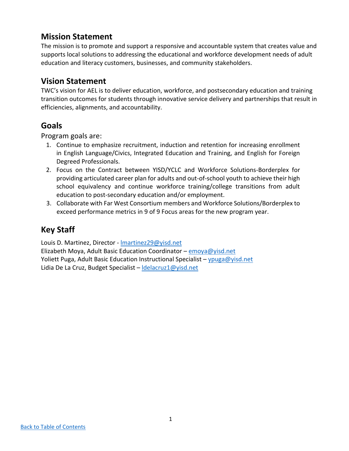## <span id="page-3-0"></span>**Mission Statement**

The mission is to promote and support a responsive and accountable system that creates value and supports local solutions to addressing the educational and workforce development needs of adult education and literacy customers, businesses, and community stakeholders.

## <span id="page-3-1"></span>**Vision Statement**

TWC's vision for AEL is to deliver education, workforce, and postsecondary education and training transition outcomes for students through innovative service delivery and partnerships that result in efficiencies, alignments, and accountability.

## <span id="page-3-2"></span>**Goals**

Program goals are:

- 1. Continue to emphasize recruitment, induction and retention for increasing enrollment in English Language/Civics, Integrated Education and Training, and English for Foreign Degreed Professionals.
- 2. Focus on the Contract between YISD/YCLC and Workforce Solutions-Borderplex for providing articulated career plan for adults and out-of-school youth to achieve their high school equivalency and continue workforce training/college transitions from adult education to post-secondary education and/or employment.
- 3. Collaborate with Far West Consortium members and Workforce Solutions/Borderplex to exceed performance metrics in 9 of 9 Focus areas for the new program year.

# <span id="page-3-3"></span>**Key Staff**

Louis D. Martinez, Director - [lmartinez29@yisd.net](mailto:lmartinez29@yisd.net)

Elizabeth Moya, Adult Basic Education Coordinator – [emoya@yisd.net](mailto:emoya@yisd.net) Yoliett Puga, Adult Basic Education Instructional Specialist – [ypuga@yisd.net](mailto:ypuga@yisd.net) Lidia De La Cruz, Budget Specialist – delacruz1@yisd.net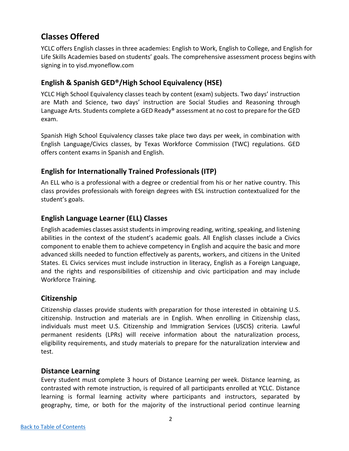# <span id="page-4-0"></span>**Classes Offered**

YCLC offers English classes in three academies: English to Work, English to College, and English for Life Skills Academies based on students' goals. The comprehensive assessment process begins with signing in to yisd.myoneflow.com

## <span id="page-4-1"></span>**English & Spanish GED®/High School Equivalency (HSE)**

YCLC High School Equivalency classes teach by content (exam) subjects. Two days' instruction are Math and Science, two days' instruction are Social Studies and Reasoning through Language Arts. Students complete a GED Ready® assessment at no cost to prepare for the GED exam.

Spanish High School Equivalency classes take place two days per week, in combination with English Language/Civics classes, by Texas Workforce Commission (TWC) regulations. GED offers content exams in Spanish and English.

## <span id="page-4-2"></span>**English for Internationally Trained Professionals (ITP)**

An ELL who is a professional with a degree or credential from his or her native country. This class provides professionals with foreign degrees with ESL instruction contextualized for the student's goals.

## <span id="page-4-3"></span>**English Language Learner (ELL) Classes**

English academies classes assist studentsin improving reading, writing, speaking, and listening abilities in the context of the student's academic goals. All English classes include a Civics component to enable them to achieve competency in English and acquire the basic and more advanced skills needed to function effectively as parents, workers, and citizens in the United States. EL Civics services must include instruction in literacy, English as a Foreign Language, and the rights and responsibilities of citizenship and civic participation and may include Workforce Training.

## <span id="page-4-4"></span>**Citizenship**

Citizenship classes provide students with preparation for those interested in obtaining U.S. citizenship. Instruction and materials are in English. When enrolling in Citizenship class, individuals must meet U.S. Citizenship and Immigration Services (USCIS) criteria. Lawful permanent residents (LPRs) will receive information about the naturalization process, eligibility requirements, and study materials to prepare for the naturalization interview and test.

### <span id="page-4-5"></span>**Distance Learning**

Every student must complete 3 hours of Distance Learning per week. Distance learning, as contrasted with remote instruction, is required of all participants enrolled at YCLC. Distance learning is formal learning activity where participants and instructors, separated by geography, time, or both for the majority of the instructional period continue learning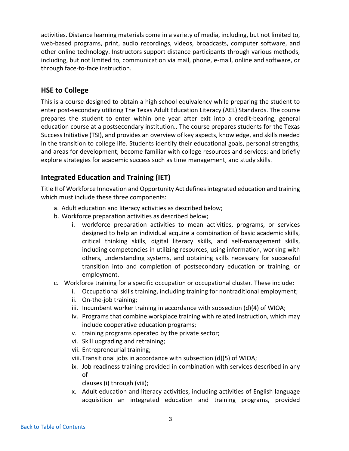activities. Distance learning materials come in a variety of media, including, but not limited to, web-based programs, print, audio recordings, videos, broadcasts, computer software, and other online technology. Instructors support distance participants through various methods, including, but not limited to, communication via mail, phone, e-mail, online and software, or through face-to-face instruction.

### <span id="page-5-0"></span>**HSE to College**

This is a course designed to obtain a high school equivalency while preparing the student to enter post-secondary utilizing The Texas Adult Education Literacy (AEL) Standards. The course prepares the student to enter within one year after exit into a credit-bearing, general education course at a postsecondary institution.. The course prepares students for the Texas Success Initiative (TSI), and provides an overview of key aspects, knowledge, and skills needed in the transition to college life. Students identify their educational goals, personal strengths, and areas for development; become familiar with college resources and services: and briefly explore strategies for academic success such as time management, and study skills.

## <span id="page-5-1"></span>**Integrated Education and Training (IET)**

Title II of Workforce Innovation and Opportunity Act defines integrated education and training which must include these three components:

- a. Adult education and literacy activities as described below;
- b. Workforce preparation activities as described below;
	- i. workforce preparation activities to mean activities, programs, or services designed to help an individual acquire a combination of basic academic skills, critical thinking skills, digital literacy skills, and self-management skills, including competencies in utilizing resources, using information, working with others, understanding systems, and obtaining skills necessary for successful transition into and completion of postsecondary education or training, or employment.
- c. Workforce training for a specific occupation or occupational cluster. These include:
	- i. Occupational skills training, including training for nontraditional employment;
	- ii. On-the-job training;
	- iii. Incumbent worker training in accordance with subsection (d)(4) of WIOA;
	- iv. Programs that combine workplace training with related instruction, which may include cooperative education programs;
	- v. training programs operated by the private sector;
	- vi. Skill upgrading and retraining;
	- vii. Entrepreneurial training;
	- viii.Transitional jobs in accordance with subsection (d)(5) of WIOA;
	- ix. Job readiness training provided in combination with services described in any of

clauses (i) through (viii);

x. Adult education and literacy activities, including activities of English language acquisition an integrated education and training programs, provided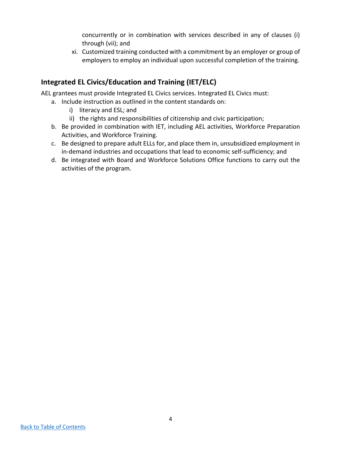concurrently or in combination with services described in any of clauses (i) through (vii); and

xi. Customized training conducted with a commitment by an employer or group of employers to employ an individual upon successful completion of the training.

## <span id="page-6-0"></span>**Integrated EL Civics/Education and Training (IET/ELC)**

AEL grantees must provide Integrated EL Civics services. Integrated EL Civics must:

- a. Include instruction as outlined in the content standards on:
	- i) literacy and ESL; and
	- ii) the rights and responsibilities of citizenship and civic participation;
- b. Be provided in combination with IET, including AEL activities, Workforce Preparation Activities, and Workforce Training.
- c. Be designed to prepare adult ELLs for, and place them in, unsubsidized employment in in-demand industries and occupations that lead to economic self-sufficiency; and
- d. Be integrated with Board and Workforce Solutions Office functions to carry out the activities of the program.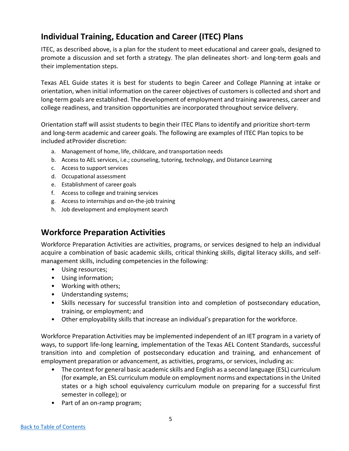# <span id="page-7-0"></span>**Individual Training, Education and Career (ITEC) Plans**

ITEC, as described above, is a plan for the student to meet educational and career goals, designed to promote a discussion and set forth a strategy. The plan delineates short- and long-term goals and their implementation steps.

Texas AEL Guide states it is best for students to begin Career and College Planning at intake or orientation, when initial information on the career objectives of customers is collected and short and long-term goals are established. The development of employment and training awareness, career and college readiness, and transition opportunities are incorporated throughout service delivery.

Orientation staff will assist students to begin their ITEC Plans to identify and prioritize short-term and long-term academic and career goals. The following are examples of ITEC Plan topics to be included at Provider discretion:

- a. Management of home, life, childcare, and transportation needs
- b. Access to AEL services, i.e.; counseling, tutoring, technology, and Distance Learning
- c. Access to support services
- d. Occupational assessment
- e. Establishment of career goals
- f. Access to college and training services
- g. Access to internships and on-the-job training
- h. Job development and employment search

# <span id="page-7-1"></span>**Workforce Preparation Activities**

Workforce Preparation Activities are activities, programs, or services designed to help an individual acquire a combination of basic academic skills, critical thinking skills, digital literacy skills, and selfmanagement skills, including competencies in the following:

- Using resources;
- Using information;
- Working with others;
- Understanding systems;
- Skills necessary for successful transition into and completion of postsecondary education, training, or employment; and
- Other employability skills that increase an individual's preparation for the workforce.

Workforce Preparation Activities may be implemented independent of an IET program in a variety of ways, to support life-long learning, implementation of the Texas AEL Content Standards, successful transition into and completion of postsecondary education and training, and enhancement of employment preparation or advancement, as activities, programs, or services, including as:

- The context for general basic academic skills and English as a second language (ESL) curriculum (for example, an ESL curriculum module on employment norms and expectations in the United states or a high school equivalency curriculum module on preparing for a successful first semester in college); or
- Part of an on-ramp program;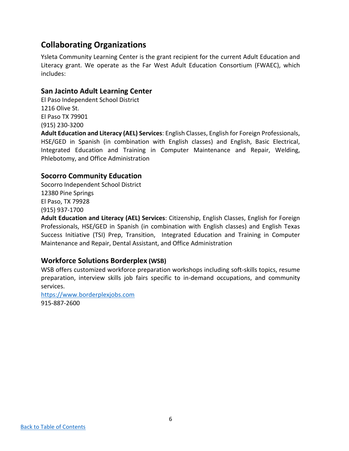# <span id="page-8-0"></span>**Collaborating Organizations**

Ysleta Community Learning Center is the grant recipient for the current Adult Education and Literacy grant. We operate as the Far West Adult Education Consortium (FWAEC), which includes:

#### **San Jacinto Adult Learning Center**

El Paso Independent School District 1216 Olive St. El Paso TX 79901 (915) 230-3200

**Adult Education and Literacy (AEL) Services**: English Classes, English for Foreign Professionals, HSE/GED in Spanish (in combination with English classes) and English, Basic Electrical, Integrated Education and Training in Computer Maintenance and Repair, Welding, Phlebotomy, and Office Administration

### **Socorro Community Education**

Socorro Independent School District 12380 Pine Springs El Paso, TX 79928 (915) 937-1700

**Adult Education and Literacy (AEL) Services**: Citizenship, English Classes, English for Foreign Professionals, HSE/GED in Spanish (in combination with English classes) and English Texas Success Initiative (TSI) Prep, Transition, Integrated Education and Training in Computer Maintenance and Repair, Dental Assistant, and Office Administration

### **Workforce Solutions Borderplex (WSB)**

WSB offers customized workforce preparation workshops including soft-skills topics, resume preparation, interview skills job fairs specific to in-demand occupations, and community services.

[https://www.borderplexjobs.com](https://www.borderplexjobs.com/) 915-887-2600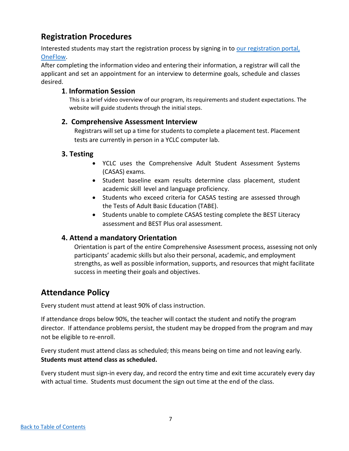# <span id="page-9-0"></span>**Registration Procedures**

Interested students may start the registration process by signing in to our registration portal, [OneFlow.](https://yisd.myoneflow.com/oneflow/rSiteHome.aspx)

After completing the information video and entering their information, a registrar will call the applicant and set an appointment for an interview to determine goals, schedule and classes desired.

### **1**. **Information Session**

This is a brief video overview of our program, its requirements and student expectations. The website will guide students through the initial steps.

### **2. Comprehensive Assessment Interview**

 Registrars will set up a time for students to complete a placement test. Placement tests are currently in person in a YCLC computer lab.

### **3. Testing**

- YCLC uses the Comprehensive Adult Student Assessment Systems (CASAS) exams.
- Student baseline exam results determine class placement, student academic skill level and language proficiency.
- Students who exceed criteria for CASAS testing are assessed through the Tests of Adult Basic Education (TABE).
- Students unable to complete CASAS testing complete the BEST Literacy assessment and BEST Plus oral assessment.

## **4. Attend a mandatory Orientation**

Orientation is part of the entire Comprehensive Assessment process, assessing not only participants' academic skills but also their personal, academic, and employment strengths, as well as possible information, supports, and resources that might facilitate success in meeting their goals and objectives.

# <span id="page-9-1"></span>**Attendance Policy**

Every student must attend at least 90% of class instruction.

If attendance drops below 90%, the teacher will contact the student and notify the program director. If attendance problems persist, the student may be dropped from the program and may not be eligible to re-enroll.

Every student must attend class as scheduled; this means being on time and not leaving early. **Students must attend class as scheduled.**

Every student must sign-in every day, and record the entry time and exit time accurately every day with actual time. Students must document the sign out time at the end of the class.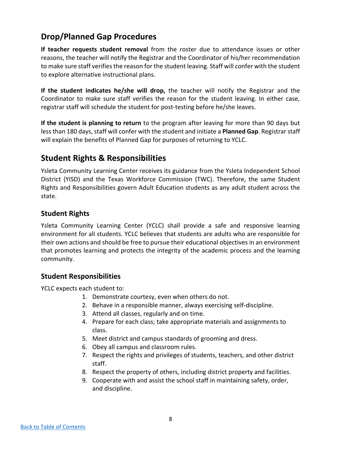# <span id="page-10-0"></span>**Drop/Planned Gap Procedures**

**If teacher requests student removal** from the roster due to attendance issues or other reasons, the teacher will notify the Registrar and the Coordinator of his/her recommendation to make sure staff verifies the reason for the student leaving. Staff will confer with the student to explore alternative instructional plans.

**If the student indicates he/she will drop,** the teacher will notify the Registrar and the Coordinator to make sure staff verifies the reason for the student leaving. In either case, registrar staff will schedule the student for post-testing before he/she leaves.

**If the student is planning to return** to the program after leaving for more than 90 days but less than 180 days, staff will confer with the student and initiate a **Planned Gap**. Registrar staff will explain the benefits of Planned Gap for purposes of returning to YCLC.

## <span id="page-10-1"></span>**Student Rights & Responsibilities**

Ysleta Community Learning Center receives its guidance from the Ysleta Independent School District (YISD) and the Texas Workforce Commission (TWC). Therefore, the same Student Rights and Responsibilities govern Adult Education students as any adult student across the state.

### <span id="page-10-2"></span>**Student Rights**

Ysleta Community Learning Center (YCLC) shall provide a safe and responsive learning environment for all students. YCLC believes that students are adults who are responsible for their own actions and should be free to pursue their educational objectives in an environment that promotes learning and protects the integrity of the academic process and the learning community.

#### <span id="page-10-3"></span>**Student Responsibilities**

YCLC expects each student to:

- 1. Demonstrate courtesy, even when others do not.
- 2. Behave in a responsible manner, always exercising self-discipline.
- 3. Attend all classes, regularly and on time.
- 4. Prepare for each class; take appropriate materials and assignments to class.
- 5. Meet district and campus standards of grooming and dress.
- 6. Obey all campus and classroom rules.
- 7. Respect the rights and privileges of students, teachers, and other district staff.
- 8. Respect the property of others, including district property and facilities.
- 9. Cooperate with and assist the school staff in maintaining safety, order, and discipline.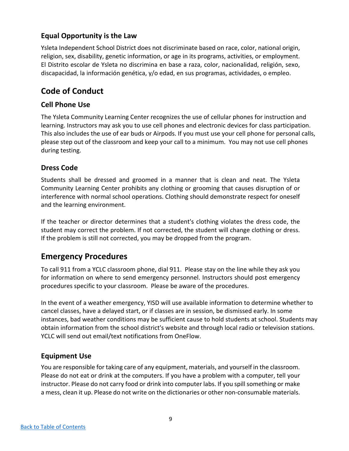## **Equal Opportunity is the Law**

Ysleta Independent School District does not discriminate based on race, color, national origin, religion, sex, disability, genetic information, or age in its programs, activities, or employment. El Distrito escolar de Ysleta no discrimina en base a raza, color, nacionalidad, religión, sexo, discapacidad, la información genética, y/o edad, en sus programas, actividades, o empleo.

# <span id="page-11-0"></span>**Code of Conduct**

## **Cell Phone Use**

The Ysleta Community Learning Center recognizes the use of cellular phones for instruction and learning. Instructors may ask you to use cell phones and electronic devices for class participation. This also includes the use of ear buds or Airpods. If you must use your cell phone for personal calls, please step out of the classroom and keep your call to a minimum. You may not use cell phones during testing.

## **Dress Code**

Students shall be dressed and groomed in a manner that is clean and neat. The Ysleta Community Learning Center prohibits any clothing or grooming that causes disruption of or interference with normal school operations. Clothing should demonstrate respect for oneself and the learning environment.

If the teacher or director determines that a student's clothing violates the dress code, the student may correct the problem. If not corrected, the student will change clothing or dress. If the problem is still not corrected, you may be dropped from the program.

# <span id="page-11-1"></span>**Emergency Procedures**

To call 911 from a YCLC classroom phone, dial 911. Please stay on the line while they ask you for information on where to send emergency personnel. Instructors should post emergency procedures specific to your classroom. Please be aware of the procedures.

In the event of a weather emergency, YISD will use available information to determine whether to cancel classes, have a delayed start, or if classes are in session, be dismissed early. In some instances, bad weather conditions may be sufficient cause to hold students at school. Students may obtain information from the school district's website and through local radio or television stations. YCLC will send out email/text notifications from OneFlow.

## **Equipment Use**

You are responsible for taking care of any equipment, materials, and yourself in the classroom. Please do not eat or drink at the computers. If you have a problem with a computer, tell your instructor. Please do not carry food or drink into computer labs. If you spill something or make a mess, clean it up. Please do not write on the dictionaries or other non-consumable materials.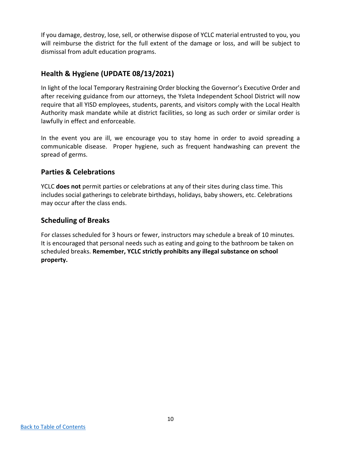If you damage, destroy, lose, sell, or otherwise dispose of YCLC material entrusted to you, you will reimburse the district for the full extent of the damage or loss, and will be subject to dismissal from adult education programs.

### **Health & Hygiene (UPDATE 08/13/2021)**

In light of the local Temporary Restraining Order blocking the Governor's Executive Order and after receiving guidance from our attorneys, the Ysleta Independent School District will now require that all YISD employees, students, parents, and visitors comply with the Local Health Authority mask mandate while at district facilities, so long as such order or similar order is lawfully in effect and enforceable.

In the event you are ill, we encourage you to stay home in order to avoid spreading a communicable disease. Proper hygiene, such as frequent handwashing can prevent the spread of germs.

### **Parties & Celebrations**

YCLC **does not** permit parties or celebrations at any of their sites during class time. This includes social gatherings to celebrate birthdays, holidays, baby showers, etc. Celebrations may occur after the class ends.

### **Scheduling of Breaks**

For classes scheduled for 3 hours or fewer, instructors may schedule a break of 10 minutes. It is encouraged that personal needs such as eating and going to the bathroom be taken on scheduled breaks. **Remember, YCLC strictly prohibits any illegal substance on school property.**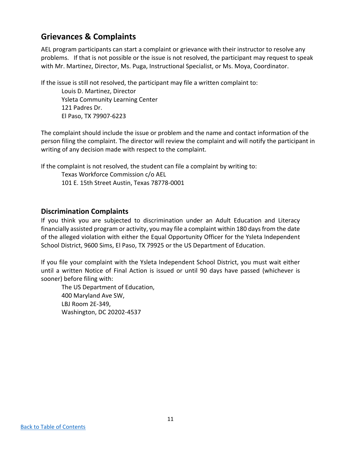# <span id="page-13-0"></span>**Grievances & Complaints**

AEL program participants can start a complaint or grievance with their instructor to resolve any problems. If that is not possible or the issue is not resolved, the participant may request to speak with Mr. Martinez, Director, Ms. Puga, Instructional Specialist, or Ms. Moya, Coordinator.

If the issue is still not resolved, the participant may file a written complaint to:

Louis D. Martinez, Director Ysleta Community Learning Center 121 Padres Dr. El Paso, TX 79907-6223

The complaint should include the issue or problem and the name and contact information of the person filing the complaint. The director will review the complaint and will notify the participant in writing of any decision made with respect to the complaint.

If the complaint is not resolved, the student can file a complaint by writing to:

Texas Workforce Commission c/o AEL 101 E. 15th Street Austin, Texas 78778-0001

### **Discrimination Complaints**

If you think you are subjected to discrimination under an Adult Education and Literacy financially assisted program or activity, you may file a complaint within 180 days from the date of the alleged violation with either the Equal Opportunity Officer for the Ysleta Independent School District, 9600 Sims, El Paso, TX 79925 or the US Department of Education.

If you file your complaint with the Ysleta Independent School District, you must wait either until a written Notice of Final Action is issued or until 90 days have passed (whichever is sooner) before filing with:

The US Department of Education, 400 Maryland Ave SW, LBJ Room 2E-349, Washington, DC 20202-4537